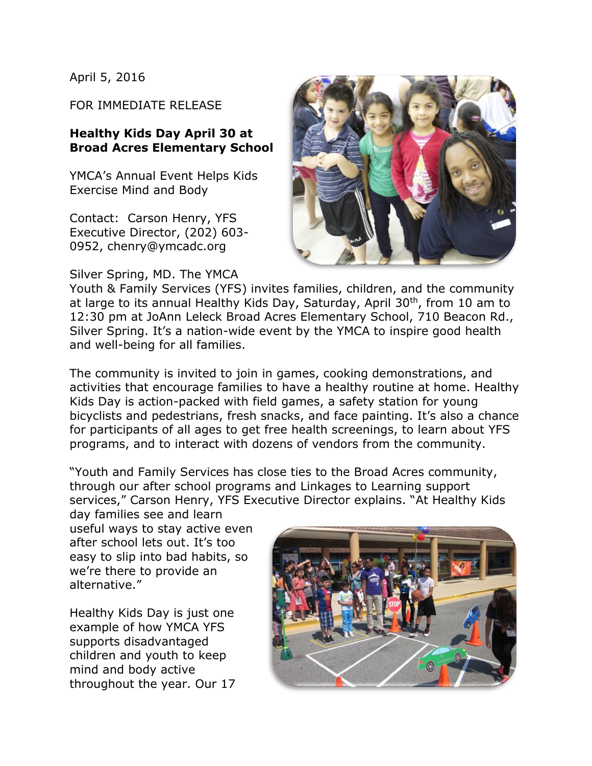April 5, 2016

FOR IMMEDIATE RELEASE

## **Healthy Kids Day April 30 at Broad Acres Elementary School**

YMCA's Annual Event Helps Kids Exercise Mind and Body

Contact: Carson Henry, YFS Executive Director, (202) 603- 0952, chenry@ymcadc.org

Silver Spring, MD. The YMCA



Youth & Family Services (YFS) invites families, children, and the community at large to its annual Healthy Kids Day, Saturday, April 30<sup>th</sup>, from 10 am to 12:30 pm at JoAnn Leleck Broad Acres Elementary School, 710 Beacon Rd., Silver Spring. It's a nation-wide event by the YMCA to inspire good health and well-being for all families.

The community is invited to join in games, cooking demonstrations, and activities that encourage families to have a healthy routine at home. Healthy Kids Day is action-packed with field games, a safety station for young bicyclists and pedestrians, fresh snacks, and face painting. It's also a chance for participants of all ages to get free health screenings, to learn about YFS programs, and to interact with dozens of vendors from the community.

"Youth and Family Services has close ties to the Broad Acres community, through our after school programs and Linkages to Learning support services," Carson Henry, YFS Executive Director explains. "At Healthy Kids

day families see and learn useful ways to stay active even after school lets out. It's too easy to slip into bad habits, so we're there to provide an alternative."

Healthy Kids Day is just one example of how YMCA YFS supports disadvantaged children and youth to keep mind and body active throughout the year. Our 17